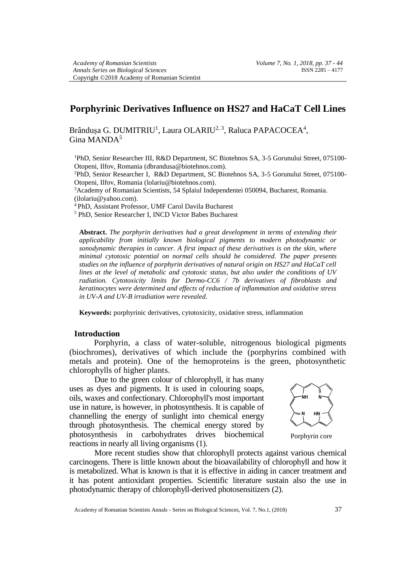# **Porphyrinic Derivatives Influence on HS27 and HaCaT Cell Lines**

Brândușa G. DUMITRIU<sup>1</sup>, Laura OLARIU<sup>2, 3</sup>, Raluca PAPACOCEA<sup>4</sup>, Gina MANDA<sup>5</sup>

<sup>1</sup>PhD, Senior Researcher III, R&D Department, SC Biotehnos SA, 3-5 Gorunului Street, 075100- Otopeni, Ilfov, Romania (dbrandusa@biotehnos.com).

<sup>2</sup>PhD, Senior Researcher I, R&D Department, SC Biotehnos SA, 3-5 Gorunului Street, 075100- Otopeni, Ilfov, Romania (lolariu@biotehnos.com).

<sup>3</sup>Academy of Romanian Scientists, 54 Splaiul Independentei 050094, Bucharest, Romania. (ilolariu@yahoo.com).

<sup>4</sup>PhD, Assistant Professor, UMF Carol Davila Bucharest

<sup>5</sup> PhD, Senior Researcher I, INCD Victor Babes Bucharest

**Abstract.** *The porphyrin derivatives had a great development in terms of extending their applicability from initially known biological pigments to modern photodynamic or sonodynamic therapies in cancer. A first impact of these derivatives is on the skin, where minimal cytotoxic potential on normal cells should be considered. The paper presents studies on the influence of porphyrin derivatives of natural origin on HS27 and HaCaT cell lines at the level of metabolic and cytotoxic status, but also under the conditions of UV radiation. Cytotoxicity limits for Dermo-CC6 / 7b derivatives of fibroblasts and keratinocytes were determined and effects of reduction of inflammation and oxidative stress in UV-A and UV-B irradiation were revealed.*

**Keywords:** porphyrinic derivatives, cytotoxicity, oxidative stress, inflammation

### **Introduction**

Porphyrin, a class of water-soluble, nitrogenous biological pigments (biochromes), derivatives of which include the (porphyrins combined with metals and protein). One of the hemoproteins is the green, photosynthetic chlorophylls of higher plants.

Due to the green colour of chlorophyll, it has many uses as dyes and pigments. It is used in colouring soaps, oils, waxes and confectionary. Chlorophyll's most important use in nature, is however, in photosynthesis. It is capable of channelling the energy of sunlight into chemical energy through photosynthesis. The chemical energy stored by photosynthesis in carbohydrates drives biochemical reactions in nearly all living organisms (1).



Porphyrin core

More recent studies show that chlorophyll protects against various chemical carcinogens. There is little known about the bioavailability of chlorophyll and how it is metabolized. What is known is that it is effective in aiding in cancer treatment and it has potent antioxidant properties. Scientific literature sustain also the use in photodynamic therapy of chlorophyll-derived photosensitizers (2).

Academy of Romanian Scientists Annals - Series on Biological Sciences, Vol. 7, No.1, (2018) 37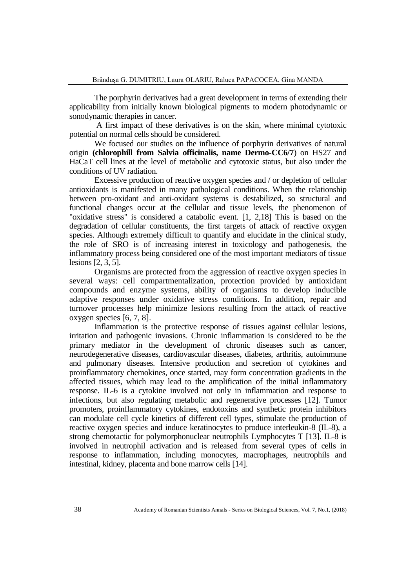The porphyrin derivatives had a great development in terms of extending their applicability from initially known biological pigments to modern photodynamic or sonodynamic therapies in cancer.

A first impact of these derivatives is on the skin, where minimal cytotoxic potential on normal cells should be considered.

We focused our studies on the influence of porphyrin derivatives of natural origin **(chlorophill from Salvia officinalis, name Dermo-CC6/7**) on HS27 and HaCaT cell lines at the level of metabolic and cytotoxic status, but also under the conditions of UV radiation.

Excessive production of reactive oxygen species and / or depletion of cellular antioxidants is manifested in many pathological conditions. When the relationship between pro-oxidant and anti-oxidant systems is destabilized, so structural and functional changes occur at the cellular and tissue levels, the phenomenon of "oxidative stress" is considered a catabolic event. [1, 2,18] This is based on the degradation of cellular constituents, the first targets of attack of reactive oxygen species. Although extremely difficult to quantify and elucidate in the clinical study, the role of SRO is of increasing interest in toxicology and pathogenesis, the inflammatory process being considered one of the most important mediators of tissue lesions [2, 3, 5].

Organisms are protected from the aggression of reactive oxygen species in several ways: cell compartmentalization, protection provided by antioxidant compounds and enzyme systems, ability of organisms to develop inducible adaptive responses under oxidative stress conditions. In addition, repair and turnover processes help minimize lesions resulting from the attack of reactive oxygen species [6, 7, 8].

Inflammation is the protective response of tissues against cellular lesions, irritation and pathogenic invasions. Chronic inflammation is considered to be the primary mediator in the development of chronic diseases such as cancer, neurodegenerative diseases, cardiovascular diseases, diabetes, arthritis, autoimmune and pulmonary diseases. Intensive production and secretion of cytokines and proinflammatory chemokines, once started, may form concentration gradients in the affected tissues, which may lead to the amplification of the initial inflammatory response. IL-6 is a cytokine involved not only in inflammation and response to infections, but also regulating metabolic and regenerative processes [12]. Tumor promoters, proinflammatory cytokines, endotoxins and synthetic protein inhibitors can modulate cell cycle kinetics of different cell types, stimulate the production of reactive oxygen species and induce keratinocytes to produce interleukin-8 (IL-8), a strong chemotactic for polymorphonuclear neutrophils Lymphocytes T [13]. IL-8 is involved in neutrophil activation and is released from several types of cells in response to inflammation, including monocytes, macrophages, neutrophils and intestinal, kidney, placenta and bone marrow cells [14].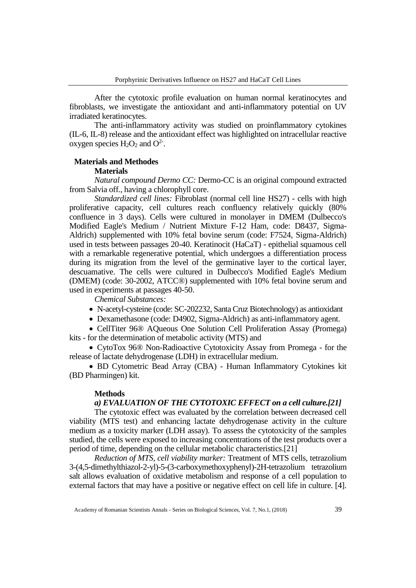After the cytotoxic profile evaluation on human normal keratinocytes and fibroblasts, we investigate the antioxidant and anti-inflammatory potential on UV irradiated keratinocytes.

The anti-inflammatory activity was studied on proinflammatory cytokines (IL-6, IL-8) release and the antioxidant effect was highlighted on intracellular reactive oxygen species  $H_2O_2$  and  $O^2$ .

### **Materials and Methodes**

### **Materials**

*Natural compound Dermo CC:* Dermo-CC is an original compound extracted from Salvia off., having a chlorophyll core.

*Standardized cell lines:* Fibroblast (normal cell line HS27) - cells with high proliferative capacity, cell cultures reach confluency relatively quickly (80% confluence in 3 days). Cells were cultured in monolayer in DMEM (Dulbecco's Modified Eagle's Medium / Nutrient Mixture F-12 Ham, code: D8437, Sigma-Aldrich) supplemented with 10% fetal bovine serum (code: F7524, Sigma-Aldrich) used in tests between passages 20-40. Keratinocit (HaCaT) - epithelial squamous cell with a remarkable regenerative potential, which undergoes a differentiation process during its migration from the level of the germinative layer to the cortical layer, descuamative. The cells were cultured in Dulbecco's Modified Eagle's Medium (DMEM) (code: 30-2002, ATCC®) supplemented with 10% fetal bovine serum and used in experiments at passages 40-50.

*Chemical Substances:*

- N-acetyl-cysteine (code: SC-202232, Santa Cruz Biotechnology) as antioxidant
- Dexamethasone (code: D4902, Sigma-Aldrich) as anti-inflammatory agent.

• CellTiter 96® AQueous One Solution Cell Proliferation Assay (Promega) kits - for the determination of metabolic activity (MTS) and

• CytoTox 96® Non-Radioactive Cytotoxicity Assay from Promega - for the release of lactate dehydrogenase (LDH) in extracellular medium.

• BD Cytometric Bead Array (CBA) - Human Inflammatory Cytokines kit (BD Pharmingen) kit.

#### **Methods**

### *a) EVALUATION OF THE CYTOTOXIC EFFECT on a cell culture.[21]*

The cytotoxic effect was evaluated by the correlation between decreased cell viability (MTS test) and enhancing lactate dehydrogenase activity in the culture medium as a toxicity marker (LDH assay). To assess the cytotoxicity of the samples studied, the cells were exposed to increasing concentrations of the test products over a period of time, depending on the cellular metabolic characteristics.[21]

*Reduction of MTS, cell viability marker:* Treatment of MTS cells, tetrazolium 3-(4,5-dimethylthiazol-2-yl)-5-(3-carboxymethoxyphenyl)-2H-tetrazolium tetrazolium salt allows evaluation of oxidative metabolism and response of a cell population to external factors that may have a positive or negative effect on cell life in culture. [4].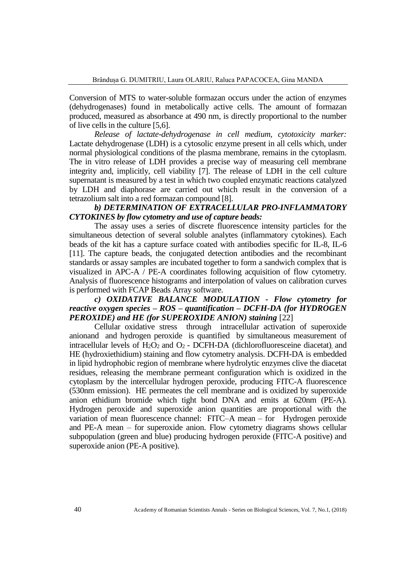Conversion of MTS to water-soluble formazan occurs under the action of enzymes (dehydrogenases) found in metabolically active cells. The amount of formazan produced, measured as absorbance at 490 nm, is directly proportional to the number of live cells in the culture [5,6].

*Release of lactate-dehydrogenase in cell medium, cytotoxicity marker:* Lactate dehydrogenase (LDH) is a cytosolic enzyme present in all cells which, under normal physiological conditions of the plasma membrane, remains in the cytoplasm. The in vitro release of LDH provides a precise way of measuring cell membrane integrity and, implicitly, cell viability [7]. The release of LDH in the cell culture supernatant is measured by a test in which two coupled enzymatic reactions catalyzed by LDH and diaphorase are carried out which result in the conversion of a tetrazolium salt into a red formazan compound [8].

## *b) DETERMINATION OF EXTRACELLULAR PRO-INFLAMMATORY CYTOKINES by flow cytometry and use of capture beads:*

The assay uses a series of discrete fluorescence intensity particles for the simultaneous detection of several soluble analytes (inflammatory cytokines). Each beads of the kit has a capture surface coated with antibodies specific for IL-8, IL-6 [11]. The capture beads, the conjugated detection antibodies and the recombinant standards or assay samples are incubated together to form a sandwich complex that is visualized in APC-A  $\overline{\phantom{a}}$  PE-A coordinates following acquisition of flow cytometry. Analysis of fluorescence histograms and interpolation of values on calibration curves is performed with FCAP Beads Array software.

## *c) OXIDATIVE BALANCE MODULATION - Flow cytometry for reactive oxygen species – ROS – quantification – DCFH-DA (for HYDROGEN PEROXIDE) and HE (for SUPEROXIDE ANION) staining* [22]

Cellular oxidative stress through intracellular activation of superoxide anionand and hydrogen peroxide is quantified by simultaneous measurement of intracellular levels of  $H_2O_2$  and  $O_2$  - DCFH-DA (dichlorofluoresceine diacetat), and HE (hydroxiethidium) staining and flow cytometry analysis. DCFH-DA is embedded in lipid hydrophobic region of membrane where hydrolytic enzymes clive the diacetat residues, releasing the membrane permeant configuration which is oxidized in the cytoplasm by the intercellular hydrogen peroxide, producing FITC-A fluorescence (530nm emission). HE permeates the cell membrane and is oxidized by superoxide anion ethidium bromide which tight bond DNA and emits at 620nm (PE-A). Hydrogen peroxide and superoxide anion quantities are proportional with the variation of mean fluorescence channel: FITC–A mean – for Hydrogen peroxide and PE-A mean – for superoxide anion. Flow cytometry diagrams shows cellular subpopulation (green and blue) producing hydrogen peroxide (FITC-A positive) and superoxide anion (PE-A positive).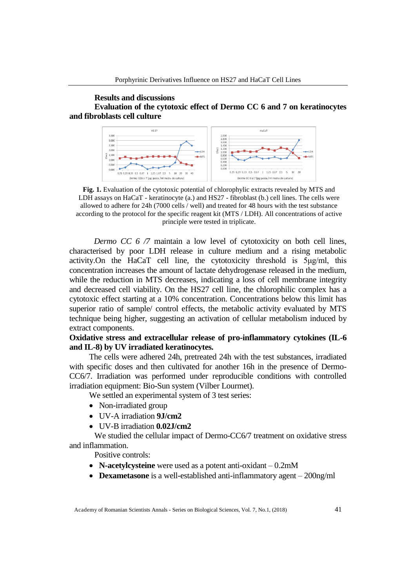### **Results and discussions Evaluation of the cytotoxic effect of Dermo CC 6 and 7 on keratinocytes and fibroblasts cell culture**



**Fig. 1.** Evaluation of the cytotoxic potential of chlorophylic extracts revealed by MTS and LDH assays on HaCaT - keratinocyte (a.) and HS27 - fibroblast (b.) cell lines. The cells were allowed to adhere for 24h (7000 cells / well) and treated for 48 hours with the test substance according to the protocol for the specific reagent kit (MTS / LDH). All concentrations of active principle were tested in triplicate.

*Dermo CC 6 /7* maintain a low level of cytotoxicity on both cell lines, characterised by poor LDH release in culture medium and a rising metabolic activity.On the HaCaT cell line, the cytotoxicity threshold is 5μg/ml, this concentration increases the amount of lactate dehydrogenase released in the medium, while the reduction in MTS decreases, indicating a loss of cell membrane integrity and decreased cell viability. On the HS27 cell line, the chlorophilic complex has a cytotoxic effect starting at a 10% concentration. Concentrations below this limit has superior ratio of sample/ control effects, the metabolic activity evaluated by MTS technique being higher, suggesting an activation of cellular metabolism induced by extract components.

## **Oxidative stress and extracellular release of pro-inflammatory cytokines (IL-6 and IL-8) by UV irradiated keratinocytes.**

The cells were adhered 24h, pretreated 24h with the test substances, irradiated with specific doses and then cultivated for another 16h in the presence of Dermo-CC6/7. Irradiation was performed under reproducible conditions with controlled irradiation equipment: Bio-Sun system (Vilber Lourmet).

We settled an experimental system of 3 test series:

- Non-irradiated group
- UV-A irradiation **9J/cm2**
- UV-B irradiation **0.02J/cm2**

We studied the cellular impact of Dermo-CC6/7 treatment on oxidative stress and inflammation.

Positive controls:

- **N-acetylcysteine** were used as a potent anti-oxidant 0.2mM
- **Dexametasone** is a well-established anti-inflammatory agent 200ng/ml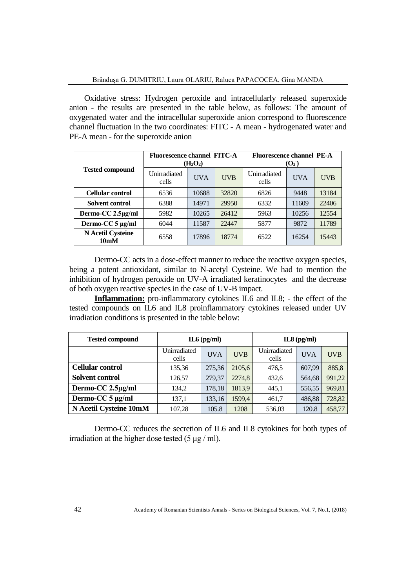Oxidative stress: Hydrogen peroxide and intracellularly released superoxide anion - the results are presented in the table below, as follows: The amount of oxygenated water and the intracellular superoxide anion correspond to fluorescence channel fluctuation in the two coordinates: FITC - A mean - hydrogenated water and PE-A mean - for the superoxide anion

| <b>Tested compound</b>                        | <b>Fluorescence channel FITC-A</b><br>$(H_2O_2)$ |            |            | <b>Fluorescence channel PE-A</b><br>(O <sub>2</sub> ) |            |            |  |
|-----------------------------------------------|--------------------------------------------------|------------|------------|-------------------------------------------------------|------------|------------|--|
|                                               | Unirradiated<br>cells                            | <b>UVA</b> | <b>UVB</b> | Unirradiated<br>cells                                 | <b>UVA</b> | <b>UVB</b> |  |
| <b>Cellular control</b>                       | 6536                                             | 10688      | 32820      | 6826                                                  | 9448       | 13184      |  |
| Solvent control                               | 6388                                             | 14971      | 29950      | 6332                                                  | 11609      | 22406      |  |
| Dermo-CC 2.5µg/ml                             | 5982                                             | 10265      | 26412      | 5963                                                  | 10256      | 12554      |  |
| Dermo-CC 5 µg/ml                              | 6044                                             | 11587      | 22447      | 5877                                                  | 9872       | 11789      |  |
| <b>N</b> Acetil Cysteine<br>10 <sub>m</sub> M | 6558                                             | 17896      | 18774      | 6522                                                  | 16254      | 15443      |  |

Dermo-CC acts in a dose-effect manner to reduce the reactive oxygen species, being a potent antioxidant, similar to N-acetyl Cysteine. We had to mention the inhibition of hydrogen peroxide on UV-A irradiated keratinocytes and the decrease of both oxygen reactive species in the case of UV-B impact.

**Inflammation:** pro-inflammatory cytokines IL6 and IL8; - the effect of the tested compounds on IL6 and IL8 proinflammatory cytokines released under UV irradiation conditions is presented in the table below:

| <b>Tested compound</b>  |                       | $IL6$ (pg/ml) |            | $IL8$ (pg/ml)         |            |             |  |
|-------------------------|-----------------------|---------------|------------|-----------------------|------------|-------------|--|
|                         | Unirradiated<br>cells | <b>UVA</b>    | <b>UVB</b> | Unirradiated<br>cells | <b>UVA</b> | <b>IJVB</b> |  |
| <b>Cellular control</b> | 135,36                | 275,36        | 2105,6     | 476,5                 | 607,99     | 885,8       |  |
| <b>Solvent control</b>  | 126,57                | 279,37        | 2274,8     | 432,6                 | 564,68     | 991,22      |  |
| Dermo-CC 2.5µg/ml       | 134,2                 | 178,18        | 1813,9     | 445,1                 | 556,55     | 969,81      |  |
| Dermo-CC 5 µg/ml        | 137,1                 | 133,16        | 1599,4     | 461,7                 | 486,88     | 728,82      |  |
| N Acetil Cysteine 10mM  | 107,28                | 105.8         | 1208       | 536,03                | 120.8      | 458,77      |  |

Dermo-CC reduces the secretion of IL6 and IL8 cytokines for both types of irradiation at the higher dose tested  $(5 \mu g / ml)$ .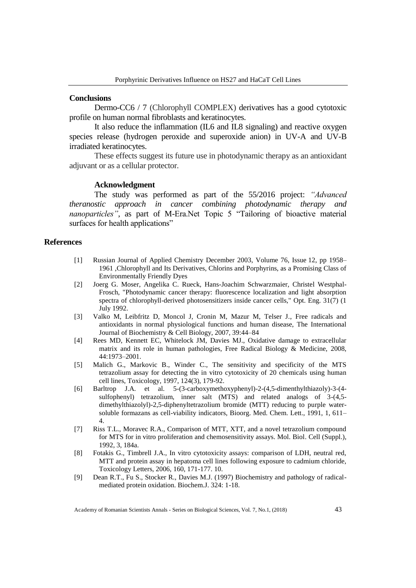#### **Conclusions**

Dermo-CC6 / 7 (Chlorophyll COMPLEX) derivatives has a good cytotoxic profile on human normal fibroblasts and keratinocytes.

It also reduce the inflammation (IL6 and IL8 signaling) and reactive oxygen species release (hydrogen peroxide and superoxide anion) in UV-A and UV-B irradiated keratinocytes.

These effects suggest its future use in photodynamic therapy as an antioxidant adjuvant or as a cellular protector.

#### **Acknowledgment**

The study was performed as part of the 55/2016 project: *"Advanced theranostic approach in cancer combining photodynamic therapy and nanoparticles"*, as part of M-Era.Net Topic 5 "Tailoring of bioactive material surfaces for health applications"

### **References**

- [1] Russian Journal of Applied Chemistry December 2003, Volume 76, Issue 12, pp 1958– 1961 ,Chlorophyll and Its Derivatives, Chlorins and Porphyrins, as a Promising Class of Environmentally Friendly Dyes
- [2] Joerg G. Moser, Angelika C. Rueck, Hans-Joachim Schwarzmaier, Christel Westphal-Frosch, "Photodynamic cancer therapy: fluorescence localization and light absorption spectra of chlorophyll-derived photosensitizers inside cancer cells," Opt. Eng. 31(7) (1 July 1992.
- [3] Valko M, Leibfritz D, Moncol J, Cronin M, Mazur M, Telser J., Free radicals and antioxidants in normal physiological functions and human disease, The International Journal of Biochemistry & Cell Biology, 2007, 39:44–84
- [4] Rees MD, Kennett EC, Whitelock JM, Davies MJ., Oxidative damage to extracellular matrix and its role in human pathologies, Free Radical Biology & Medicine, 2008, 44:1973–2001.
- [5] Malich G., Markovic B., Winder C., The sensitivity and specificity of the MTS tetrazolium assay for detecting the in vitro cytotoxicity of 20 chemicals using human cell lines, Toxicology, 1997, 124(3), 179-92.
- [6] Barltrop J.A. et al. 5-(3-carboxymethoxyphenyl)-2-(4,5-dimenthylthiazoly)-3-(4 sulfophenyl) tetrazolium, inner salt (MTS) and related analogs of 3-(4,5 dimethylthiazolyl)-2,5-diphenyltetrazolium bromide (MTT) reducing to purple watersoluble formazans as cell-viability indicators, Bioorg. Med. Chem. Lett., 1991, 1, 611– 4.
- [7] Riss T.L., Moravec R.A., Comparison of MTT, XTT, and a novel tetrazolium compound for MTS for in vitro proliferation and chemosensitivity assays. Mol. Biol. Cell (Suppl.), 1992, 3, 184a.
- [8] Fotakis G., Timbrell J.A., In vitro cytotoxicity assays: comparison of LDH, neutral red, MTT and protein assay in hepatoma cell lines following exposure to cadmium chloride, Toxicology Letters, 2006, 160, 171-177. 10.
- [9] Dean R.T., Fu S., Stocker R., Davies M.J. (1997) Biochemistry and pathology of radicalmediated protein oxidation. Biochem.J. 324: 1-18.

Academy of Romanian Scientists Annals - Series on Biological Sciences, Vol. 7, No.1, (2018) 43